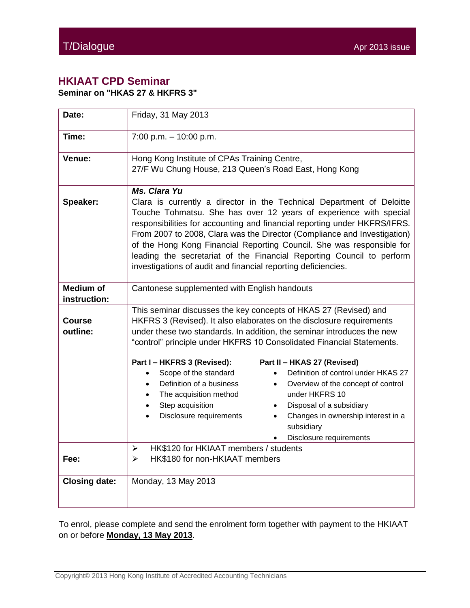## **HKIAAT CPD Seminar**

**Seminar on "HKAS 27 & HKFRS 3"**

| Date:                            | Friday, 31 May 2013                                                                                                                                                                                                                                                                                                                                                                                                                                                                                                                    |
|----------------------------------|----------------------------------------------------------------------------------------------------------------------------------------------------------------------------------------------------------------------------------------------------------------------------------------------------------------------------------------------------------------------------------------------------------------------------------------------------------------------------------------------------------------------------------------|
| Time:                            | $7:00$ p.m. $-10:00$ p.m.                                                                                                                                                                                                                                                                                                                                                                                                                                                                                                              |
| Venue:                           | Hong Kong Institute of CPAs Training Centre,<br>27/F Wu Chung House, 213 Queen's Road East, Hong Kong                                                                                                                                                                                                                                                                                                                                                                                                                                  |
| Speaker:                         | Ms. Clara Yu<br>Clara is currently a director in the Technical Department of Deloitte<br>Touche Tohmatsu. She has over 12 years of experience with special<br>responsibilities for accounting and financial reporting under HKFRS/IFRS.<br>From 2007 to 2008, Clara was the Director (Compliance and Investigation)<br>of the Hong Kong Financial Reporting Council. She was responsible for<br>leading the secretariat of the Financial Reporting Council to perform<br>investigations of audit and financial reporting deficiencies. |
| <b>Medium of</b><br>instruction: | Cantonese supplemented with English handouts                                                                                                                                                                                                                                                                                                                                                                                                                                                                                           |
| Course<br>outline:               | This seminar discusses the key concepts of HKAS 27 (Revised) and<br>HKFRS 3 (Revised). It also elaborates on the disclosure requirements<br>under these two standards. In addition, the seminar introduces the new<br>"control" principle under HKFRS 10 Consolidated Financial Statements.                                                                                                                                                                                                                                            |
|                                  | Part I - HKFRS 3 (Revised):<br>Part II - HKAS 27 (Revised)<br>Scope of the standard<br>Definition of control under HKAS 27<br>$\bullet$<br>Definition of a business<br>Overview of the concept of control<br>$\bullet$<br>The acquisition method<br>under HKFRS 10<br>Step acquisition<br>Disposal of a subsidiary<br>$\bullet$<br>Disclosure requirements<br>Changes in ownership interest in a<br>$\bullet$<br>subsidiary<br>Disclosure requirements                                                                                 |
| Fee:                             | HK\$120 for HKIAAT members / students<br>$\blacktriangleright$<br>HK\$180 for non-HKIAAT members<br>➤                                                                                                                                                                                                                                                                                                                                                                                                                                  |
| <b>Closing date:</b>             | Monday, 13 May 2013                                                                                                                                                                                                                                                                                                                                                                                                                                                                                                                    |

To enrol, please complete and send the enrolment form together with payment to the HKIAAT on or before **Monday, 13 May 2013**.